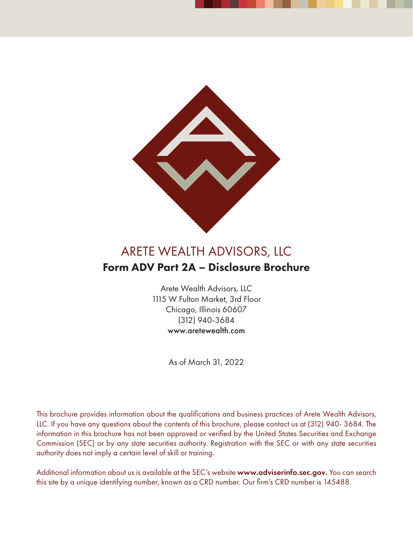

## ARETE WEALTH ADVISORS, LLC Form ADV Part 2A – Disclosure Brochure

Arete Wealth Advisors, LLC 1115 W Fulton Market, 3rd Floor Chicago, Illinois 60607 (312) 940-3684 www.aretewealth.com

As of March 31, 2022

This brochure provides information about the qualifications and business practices of Arete Wealth Advisors, LLC. If you have any questions about the contents of this brochure, please contact us at (312) 940- 3684. The information in this brochure has not been approved or verified by the United States Securities and Exchange Commission (SEC) or by any state securities authority. Registration with the SEC or with any state securities authority does not imply a certain level of skill or training.

Additional information about us is available at the SEC's website www.adviserinfo.sec.gov. You can search this site by a unique identifying number, known as a CRD number. Our firm's CRD number is 145488.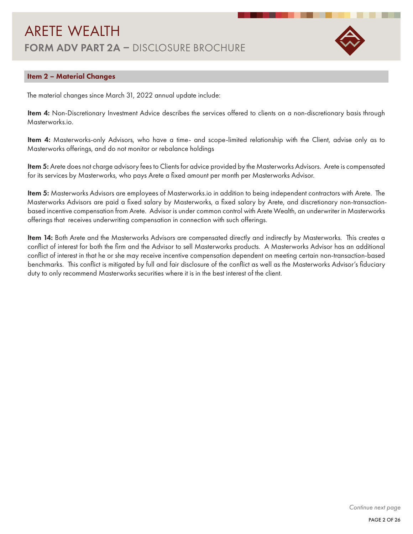

### Item 2 – Material Changes

The material changes since March 31, 2022 annual update include:

Item 4: Non-Discretionary Investment Advice describes the services offered to clients on a non-discretionary basis through Masterworks.io.

Item 4: Masterworks-only Advisors, who have a time- and scope-limited relationship with the Client, advise only as to Masterworks offerings, and do not monitor or rebalance holdings

Item 5: Arete does not charge advisory fees to Clients for advice provided by the Masterworks Advisors. Arete is compensated for its services by Masterworks, who pays Arete a fixed amount per month per Masterworks Advisor.

Item 5: Masterworks Advisors are employees of Masterworks.io in addition to being independent contractors with Arete. The Masterworks Advisors are paid a fixed salary by Masterworks, a fixed salary by Arete, and discretionary non-transactionbased incentive compensation from Arete. Advisor is under common control with Arete Wealth, an underwriter in Masterworks offerings that receives underwriting compensation in connection with such offerings.

Item 14: Both Arete and the Masterworks Advisors are compensated directly and indirectly by Masterworks. This creates a conflict of interest for both the firm and the Advisor to sell Masterworks products. A Masterworks Advisor has an additional conflict of interest in that he or she may receive incentive compensation dependent on meeting certain non-transaction-based benchmarks. This conflict is mitigated by full and fair disclosure of the conflict as well as the Masterworks Advisor's fiduciary duty to only recommend Masterworks securities where it is in the best interest of the client.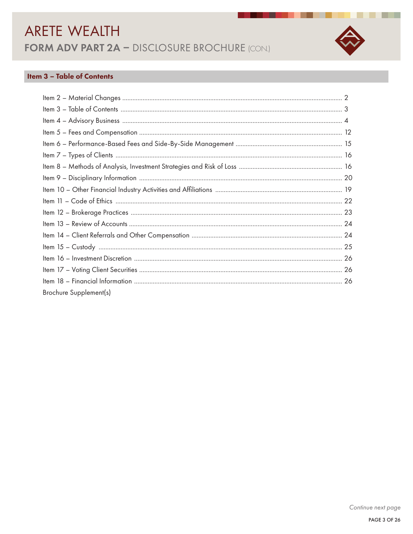

▄

## **Item 3 - Table of Contents**

| Brochure Supplement(s) |  |
|------------------------|--|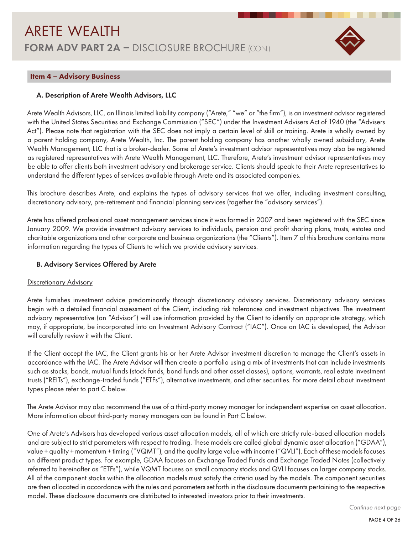

#### Item 4 – Advisory Business

#### A. Description of Arete Wealth Advisors, LLC

Arete Wealth Advisors, LLC, an Illinois limited liability company ("Arete," "we" or "the firm"), is an investment advisor registered with the United States Securities and Exchange Commission ("SEC") under the Investment Advisers Act of 1940 (the "Advisers Act"). Please note that registration with the SEC does not imply a certain level of skill or training. Arete is wholly owned by a parent holding company, Arete Wealth, Inc. The parent holding company has another wholly owned subsidiary, Arete Wealth Management, LLC that is a broker-dealer. Some of Arete's investment advisor representatives may also be registered as registered representatives with Arete Wealth Management, LLC. Therefore, Arete's investment advisor representatives may be able to offer clients both investment advisory and brokerage service. Clients should speak to their Arete representatives to understand the different types of services available through Arete and its associated companies.

This brochure describes Arete, and explains the types of advisory services that we offer, including investment consulting, discretionary advisory, pre-retirement and financial planning services (together the "advisory services").

Arete has offered professional asset management services since it was formed in 2007 and been registered with the SEC since January 2009. We provide investment advisory services to individuals, pension and profit sharing plans, trusts, estates and charitable organizations and other corporate and business organizations (the "Clients"). Item 7 of this brochure contains more information regarding the types of Clients to which we provide advisory services.

#### B. Advisory Services Offered by Arete

#### Discretionary Advisory

Arete furnishes investment advice predominantly through discretionary advisory services. Discretionary advisory services begin with a detailed financial assessment of the Client, including risk tolerances and investment objectives. The investment advisory representative (an "Advisor") will use information provided by the Client to identify an appropriate strategy, which may, if appropriate, be incorporated into an Investment Advisory Contract ("IAC"). Once an IAC is developed, the Advisor will carefully review it with the Client.

If the Client accept the IAC, the Client grants his or her Arete Advisor investment discretion to manage the Client's assets in accordance with the IAC. The Arete Advisor will then create a portfolio using a mix of investments that can include investments such as stocks, bonds, mutual funds (stock funds, bond funds and other asset classes), options, warrants, real estate investment trusts ("REITs"), exchange-traded funds ("ETFs"), alternative investments, and other securities. For more detail about investment types please refer to part C below.

The Arete Advisor may also recommend the use of a third-party money manager for independent expertise on asset allocation. More information about third-party money managers can be found in Part C below.

One of Arete's Advisors has developed various asset allocation models, all of which are strictly rule-based allocation models and are subject to strict parameters with respect to trading. These models are called global dynamic asset allocation ("GDAA"), value + quality + momentum + timing ("VQMT"), and the quality large value with income ("QVLI"). Each of these models focuses on different product types. For example, GDAA focuses on Exchange Traded Funds and Exchange Traded Notes (collectively referred to hereinafter as "ETFs"), while VQMT focuses on small company stocks and QVLI focuses on larger company stocks. All of the component stocks within the allocation models must satisfy the criteria used by the models. The component securities are then allocated in accordance with the rules and parameters set forth in the disclosure documents pertaining to the respective model. These disclosure documents are distributed to interested investors prior to their investments.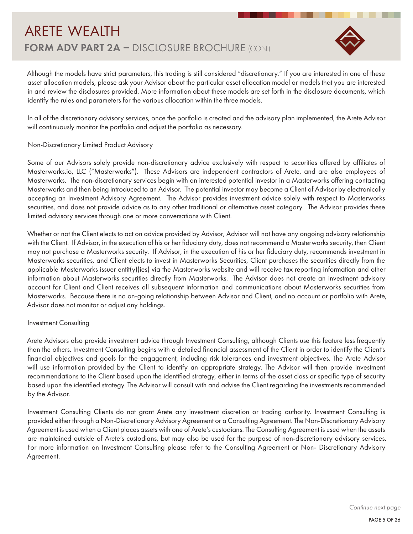

Although the models have strict parameters, this trading is still considered "discretionary." If you are interested in one of these asset allocation models, please ask your Advisor about the particular asset allocation model or models that you are interested in and review the disclosures provided. More information about these models are set forth in the disclosure documents, which identify the rules and parameters for the various allocation within the three models.

In all of the discretionary advisory services, once the portfolio is created and the advisory plan implemented, the Arete Advisor will continuously monitor the portfolio and adjust the portfolio as necessary.

#### Non-Discretionary Limited Product Advisory

Some of our Advisors solely provide non-discretionary advice exclusively with respect to securities offered by affiliates of Masterworks.io, LLC ("Masterworks"). These Advisors are independent contractors of Arete, and are also employees of Masterworks. The non-discretionary services begin with an interested potential investor in a Masterworks offering contacting Masterworks and then being introduced to an Advisor. The potential investor may become a Client of Advisor by electronically accepting an Investment Advisory Agreement. The Advisor provides investment advice solely with respect to Masterworks securities, and does not provide advice as to any other traditional or alternative asset category. The Advisor provides these limited advisory services through one or more conversations with Client.

Whether or not the Client elects to act on advice provided by Advisor, Advisor will not have any ongoing advisory relationship with the Client. If Advisor, in the execution of his or her fiduciary duty, does not recommend a Masterworks security, then Client may not purchase a Masterworks security. If Advisor, in the execution of his or her fiduciary duty, recommends investment in Masterworks securities, and Client elects to invest in Masterworks Securities, Client purchases the securities directly from the applicable Masterworks issuer entit(y)(ies) via the Masterworks website and will receive tax reporting information and other information about Masterworks securities directly from Masterworks. The Advisor does not create an investment advisory account for Client and Client receives all subsequent information and communications about Masterworks securities from Masterworks. Because there is no on-going relationship between Advisor and Client, and no account or portfolio with Arete, Advisor does not monitor or adjust any holdings.

#### **Investment Consulting**

Arete Advisors also provide investment advice through Investment Consulting, although Clients use this feature less frequently than the others. Investment Consulting begins with a detailed financial assessment of the Client in order to identify the Client's financial objectives and goals for the engagement, including risk tolerances and investment objectives. The Arete Advisor will use information provided by the Client to identify an appropriate strategy. The Advisor will then provide investment recommendations to the Client based upon the identified strategy, either in terms of the asset class or specific type of security based upon the identified strategy. The Advisor will consult with and advise the Client regarding the investments recommended by the Advisor.

Investment Consulting Clients do not grant Arete any investment discretion or trading authority. Investment Consulting is provided either through a Non-Discretionary Advisory Agreement or a Consulting Agreement. The Non-Discretionary Advisory Agreement is used when a Client places assets with one of Arete's custodians. The Consulting Agreement is used when the assets are maintained outside of Arete's custodians, but may also be used for the purpose of non-discretionary advisory services. For more information on Investment Consulting please refer to the Consulting Agreement or Non- Discretionary Advisory Agreement.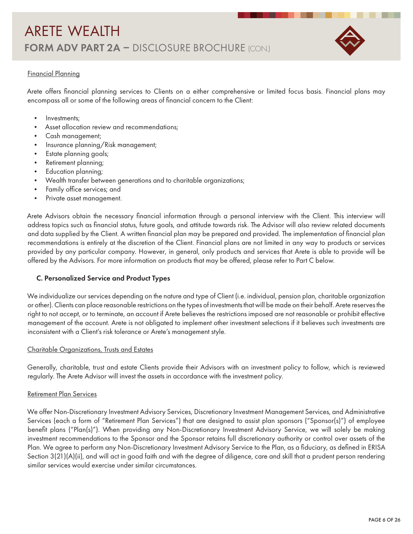

### Financial Planning

Arete offers financial planning services to Clients on a either comprehensive or limited focus basis. Financial plans may encompass all or some of the following areas of financial concern to the Client:

- Investments;
- Asset allocation review and recommendations;
- Cash management;
- Insurance planning/Risk management;
- Estate planning goals;
- Retirement planning;
- Education planning;
- Wealth transfer between generations and to charitable organizations;
- Family office services; and
- Private asset management.

Arete Advisors obtain the necessary financial information through a personal interview with the Client. This interview will address topics such as financial status, future goals, and attitude towards risk. The Advisor will also review related documents and data supplied by the Client. A written financial plan may be prepared and provided. The implementation of financial plan recommendations is entirely at the discretion of the Client. Financial plans are not limited in any way to products or services provided by any particular company. However, in general, only products and services that Arete is able to provide will be offered by the Advisors. For more information on products that may be offered, please refer to Part C below.

#### C. Personalized Service and Product Types

We individualize our services depending on the nature and type of Client (i.e. individual, pension plan, charitable organization or other). Clients can place reasonable restrictions on the types of investments that will be made on their behalf. Arete reserves the right to not accept, or to terminate, an account if Arete believes the restrictions imposed are not reasonable or prohibit effective management of the account. Arete is not obligated to implement other investment selections if it believes such investments are inconsistent with a Client's risk tolerance or Arete's management style.

#### Charitable Organizations, Trusts and Estates

Generally, charitable, trust and estate Clients provide their Advisors with an investment policy to follow, which is reviewed regularly. The Arete Advisor will invest the assets in accordance with the investment policy.

#### Retirement Plan Services

We offer Non-Discretionary Investment Advisory Services, Discretionary Investment Management Services, and Administrative Services (each a form of "Retirement Plan Services") that are designed to assist plan sponsors ("Sponsor(s)") of employee benefit plans ("Plan(s)"). When providing any Non-Discretionary Investment Advisory Service, we will solely be making investment recommendations to the Sponsor and the Sponsor retains full discretionary authority or control over assets of the Plan. We agree to perform any Non-Discretionary Investment Advisory Service to the Plan, as a fiduciary, as defined in ERISA Section 3(21)(A)(ii), and will act in good faith and with the degree of diligence, care and skill that a prudent person rendering similar services would exercise under similar circumstances.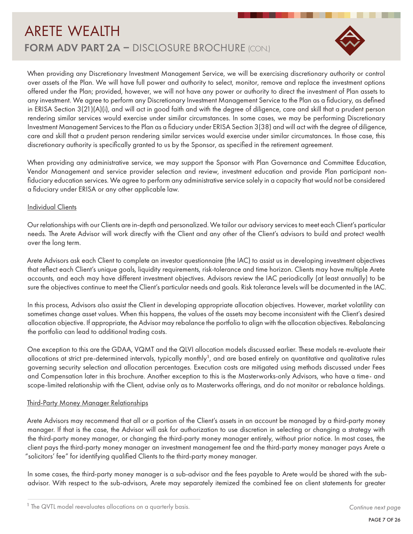



When providing any Discretionary Investment Management Service, we will be exercising discretionary authority or control over assets of the Plan. We will have full power and authority to select, monitor, remove and replace the investment options offered under the Plan; provided, however, we will not have any power or authority to direct the investment of Plan assets to any investment. We agree to perform any Discretionary Investment Management Service to the Plan as a fiduciary, as defined in ERISA Section 3(21)(A)(i), and will act in good faith and with the degree of diligence, care and skill that a prudent person rendering similar services would exercise under similar circumstances. In some cases, we may be performing Discretionary Investment Management Services to the Plan as a fiduciary under ERISA Section 3(38) and will act with the degree of diligence, care and skill that a prudent person rendering similar services would exercise under similar circumstances. In those case, this discretionary authority is specifically granted to us by the Sponsor, as specified in the retirement agreement.

When providing any administrative service, we may support the Sponsor with Plan Governance and Committee Education, Vendor Management and service provider selection and review, investment education and provide Plan participant nonfiduciary education services. We agree to perform any administrative service solely in a capacity that would not be considered a fiduciary under ERISA or any other applicable law.

#### **Individual Clients**

Our relationships with our Clients are in-depth and personalized. We tailor our advisory services to meet each Client's particular needs. The Arete Advisor will work directly with the Client and any other of the Client's advisors to build and protect wealth over the long term.

Arete Advisors ask each Client to complete an investor questionnaire (the IAC) to assist us in developing investment objectives that reflect each Client's unique goals, liquidity requirements, risk-tolerance and time horizon. Clients may have multiple Arete accounts, and each may have different investment objectives. Advisors review the IAC periodically (at least annually) to be sure the objectives continue to meet the Client's particular needs and goals. Risk tolerance levels will be documented in the IAC.

In this process, Advisors also assist the Client in developing appropriate allocation objectives. However, market volatility can sometimes change asset values. When this happens, the values of the assets may become inconsistent with the Client's desired allocation objective. If appropriate, the Advisor may rebalance the portfolio to align with the allocation objectives. Rebalancing the portfolio can lead to additional trading costs.

One exception to this are the GDAA, VQMT and the QLVI allocation models discussed earlier. These models re-evaluate their allocations at strict pre-determined intervals, typically monthly<sup>1</sup>, and are based entirely on quantitative and qualitative rules governing security selection and allocation percentages. Execution costs are mitigated using methods discussed under Fees and Compensation later in this brochure. Another exception to this is the Masterworks-only Advisors, who have a time- and scope-limited relationship with the Client, advise only as to Masterworks offerings, and do not monitor or rebalance holdings.

#### Third-Party Money Manager Relationships

Arete Advisors may recommend that all or a portion of the Client's assets in an account be managed by a third-party money manager. If that is the case, the Advisor will ask for authorization to use discretion in selecting or changing a strategy with the third-party money manager, or changing the third-party money manager entirely, without prior notice. In most cases, the client pays the third-party money manager an investment management fee and the third-party money manager pays Arete a "solicitors' fee" for identifying qualified Clients to the third-party money manager.

In some cases, the third-party money manager is a sub-advisor and the fees payable to Arete would be shared with the subadvisor. With respect to the sub-advisors, Arete may separately itemized the combined fee on client statements for greater

<sup>&</sup>lt;sup>1</sup> The QVTL model reevaluates allocations on a quarterly basis.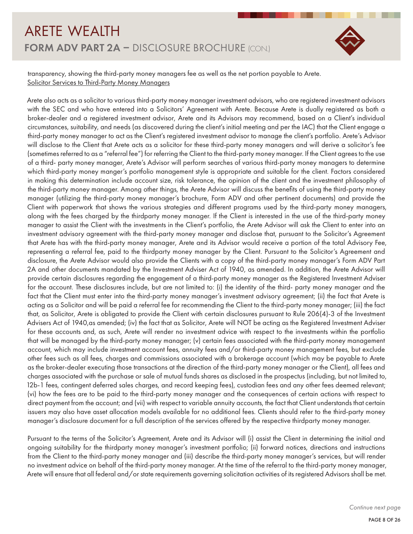

transparency, showing the third-party money managers fee as well as the net portion payable to Arete. Solicitor Services to Third-Party Money Managers

Arete also acts as a solicitor to various third-party money manager investment advisors, who are registered investment advisors with the SEC and who have entered into a Solicitors' Agreement with Arete. Because Arete is dually registered as both a broker-dealer and a registered investment advisor, Arete and its Advisors may recommend, based on a Client's individual circumstances, suitability, and needs (as discovered during the client's initial meeting and per the IAC) that the Client engage a third-party money manager to act as the Client's registered investment advisor to manage the client's portfolio. Arete's Advisor will disclose to the Client that Arete acts as a solicitor for these third-party money managers and will derive a solicitor's fee (sometimes referred to as a "referral fee") for referring the Client to the third-party money manager. If the Client agrees to the use of a third- party money manager, Arete's Advisor will perform searches of various third-party money managers to determine which third-party money manger's portfolio management style is appropriate and suitable for the client. Factors considered in making this determination include account size, risk tolerance, the opinion of the client and the investment philosophy of the third-party money manager. Among other things, the Arete Advisor will discuss the benefits of using the third-party money manager (utilizing the third-party money manager's brochure, Form ADV and other pertinent documents) and provide the Client with paperwork that shows the various strategies and different programs used by the third-party money managers, along with the fees charged by the thirdparty money manager. If the Client is interested in the use of the third-party money manager to assist the Client with the investments in the Client's portfolio, the Arete Advisor will ask the Client to enter into an investment advisory agreement with the third-party money manager and disclose that, pursuant to the Solicitor's Agreement that Arete has with the third-party money manager, Arete and its Advisor would receive a portion of the total Advisory Fee, representing a referral fee, paid to the thirdparty money manager by the Client. Pursuant to the Solicitor's Agreement and disclosure, the Arete Advisor would also provide the Clients with a copy of the third-party money manager's Form ADV Part 2A and other documents mandated by the Investment Adviser Act of 1940, as amended. In addition, the Arete Advisor will provide certain disclosures regarding the engagement of a third-party money manager as the Registered Investment Adviser for the account. These disclosures include, but are not limited to: (i) the identity of the third- party money manager and the fact that the Client must enter into the third-party money manager's investment advisory agreement; (ii) the fact that Arete is acting as a Solicitor and will be paid a referral fee for recommending the Client to the third-party money manager; (iii) the fact that, as Solicitor, Arete is obligated to provide the Client with certain disclosures pursuant to Rule 206(4)-3 of the Investment Advisers Act of 1940,as amended; (iv) the fact that as Solicitor, Arete will NOT be acting as the Registered Investment Adviser for these accounts and, as such, Arete will render no investment advice with respect to the investments within the portfolio that will be managed by the third-party money manager; (v) certain fees associated with the third-party money management account, which may include investment account fees, annuity fees and/or third-party money management fees, but exclude other fees such as all fees, charges and commissions associated with a brokerage account (which may be payable to Arete as the broker-dealer executing those transactions at the direction of the third-party money manager or the Client), all fees and charges associated with the purchase or sale of mutual funds shares as disclosed in the prospectus (including, but not limited to, 12b-1 fees, contingent deferred sales charges, and record keeping fees), custodian fees and any other fees deemed relevant; (vi) how the fees are to be paid to the third-party money manager and the consequences of certain actions with respect to direct payment from the account; and (vii) with respect to variable annuity accounts, the fact that Client understands that certain issuers may also have asset allocation models available for no additional fees. Clients should refer to the third-party money manager's disclosure document for a full description of the services offered by the respective thirdparty money manager.

Pursuant to the terms of the Solicitor's Agreement, Arete and its Advisor will (i) assist the Client in determining the initial and ongoing suitability for the thirdparty money manager's investment portfolio; (ii) forward notices, directions and instructions from the Client to the third-party money manager and (iii) describe the third-party money manager's services, but will render no investment advice on behalf of the third-party money manager. At the time of the referral to the third-party money manager, Arete will ensure that all federal and/or state requirements governing solicitation activities of its registered Advisors shall be met.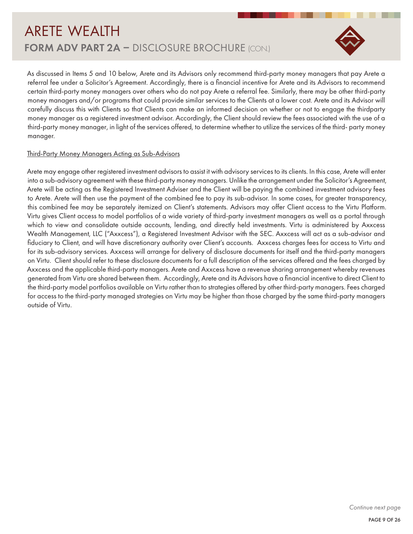

As discussed in Items 5 and 10 below, Arete and its Advisors only recommend third-party money managers that pay Arete a referral fee under a Solicitor's Agreement. Accordingly, there is a financial incentive for Arete and its Advisors to recommend certain third-party money managers over others who do not pay Arete a referral fee. Similarly, there may be other third-party money managers and/or programs that could provide similar services to the Clients at a lower cost. Arete and its Advisor will carefully discuss this with Clients so that Clients can make an informed decision on whether or not to engage the thirdparty money manager as a registered investment advisor. Accordingly, the Client should review the fees associated with the use of a third-party money manager, in light of the services offered, to determine whether to utilize the services of the third- party money manager.

### Third-Party Money Managers Acting as Sub-Advisors

Arete may engage other registered investment advisors to assist it with advisory services to its clients. In this case, Arete will enter into a sub-advisory agreement with these third-party money managers. Unlike the arrangement under the Solicitor's Agreement, Arete will be acting as the Registered Investment Adviser and the Client will be paying the combined investment advisory fees to Arete. Arete will then use the payment of the combined fee to pay its sub-advisor. In some cases, for greater transparency, this combined fee may be separately itemized on Client's statements. Advisors may offer Client access to the Virtu Platform. Virtu gives Client access to model portfolios of a wide variety of third-party investment managers as well as a portal through which to view and consolidate outside accounts, lending, and directly held investments. Virtu is administered by Axxcess Wealth Management, LLC ("Axxcess"), a Registered Investment Advisor with the SEC. Axxcess will act as a sub-advisor and fiduciary to Client, and will have discretionary authority over Client's accounts. Axxcess charges fees for access to Virtu and for its sub-advisory services. Axxcess will arrange for delivery of disclosure documents for itself and the third-party managers on Virtu. Client should refer to these disclosure documents for a full description of the services offered and the fees charged by Axxcess and the applicable third-party managers. Arete and Axxcess have a revenue sharing arrangement whereby revenues generated from Virtu are shared between them. Accordingly, Arete and its Advisors have a financial incentive to direct Client to the third-party model portfolios available on Virtu rather than to strategies offered by other third-party managers. Fees charged for access to the third-party managed strategies on Virtu may be higher than those charged by the same third-party managers outside of Virtu.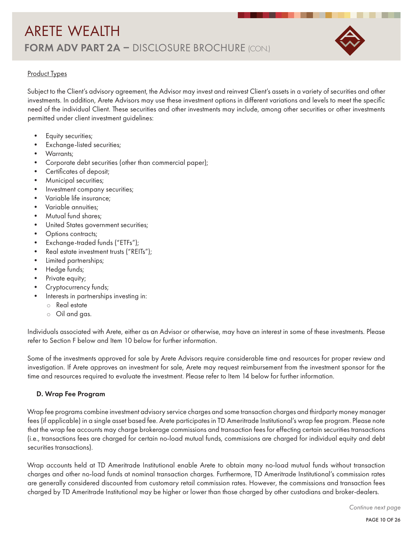

## Product Types

Subject to the Client's advisory agreement, the Advisor may invest and reinvest Client's assets in a variety of securities and other investments. In addition, Arete Advisors may use these investment options in different variations and levels to meet the specific need of the individual Client. These securities and other investments may include, among other securities or other investments permitted under client investment guidelines:

- Equity securities;
- Exchange-listed securities;
- Warrants;
- Corporate debt securities (other than commercial paper);
- Certificates of deposit;
- Municipal securities;
- Investment company securities;
- Variable life insurance;
- Variable annuities;
- Mutual fund shares;
- United States government securities;
- Options contracts;
- Exchange-traded funds ("ETFs");
- Real estate investment trusts ("REITs");
- Limited partnerships;
- Hedge funds;
- Private equity;
- Cryptocurrency funds;
- Interests in partnerships investing in:
	- $\circ$  Real estate
	- $\circ$  Oil and gas.

Individuals associated with Arete, either as an Advisor or otherwise, may have an interest in some of these investments. Please refer to Section F below and Item 10 below for further information.

Some of the investments approved for sale by Arete Advisors require considerable time and resources for proper review and investigation. If Arete approves an investment for sale, Arete may request reimbursement from the investment sponsor for the time and resources required to evaluate the investment. Please refer to Item 14 below for further information.

#### D. Wrap Fee Program

Wrap fee programs combine investment advisory service charges and some transaction charges and thirdparty money manager fees (if applicable) in a single asset based fee. Arete participates in TD Ameritrade Institutional's wrap fee program. Please note that the wrap fee accounts may charge brokerage commissions and transaction fees for effecting certain securities transactions (i.e., transactions fees are charged for certain no-load mutual funds, commissions are charged for individual equity and debt securities transactions).

Wrap accounts held at TD Ameritrade Institutional enable Arete to obtain many no-load mutual funds without transaction charges and other no-load funds at nominal transaction charges. Furthermore, TD Ameritrade Institutional's commission rates are generally considered discounted from customary retail commission rates. However, the commissions and transaction fees charged by TD Ameritrade Institutional may be higher or lower than those charged by other custodians and broker-dealers.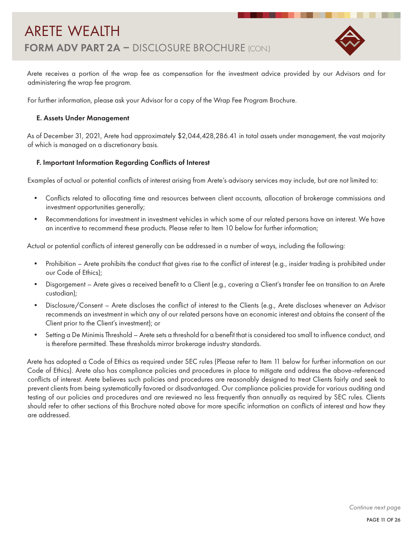

Arete receives a portion of the wrap fee as compensation for the investment advice provided by our Advisors and for administering the wrap fee program.

For further information, please ask your Advisor for a copy of the Wrap Fee Program Brochure.

### E. Assets Under Management

As of December 31, 2021, Arete had approximately \$2,044,428,286.41 in total assets under management, the vast majority of which is managed on a discretionary basis.

### F. Important Information Regarding Conflicts of Interest

Examples of actual or potential conflicts of interest arising from Arete's advisory services may include, but are not limited to:

- Conflicts related to allocating time and resources between client accounts, allocation of brokerage commissions and investment opportunities generally;
- Recommendations for investment in investment vehicles in which some of our related persons have an interest. We have an incentive to recommend these products. Please refer to Item 10 below for further information;

Actual or potential conflicts of interest generally can be addressed in a number of ways, including the following:

- Prohibition Arete prohibits the conduct that gives rise to the conflict of interest (e.g., insider trading is prohibited under our Code of Ethics);
- Disgorgement Arete gives a received benefit to a Client (e.g., covering a Client's transfer fee on transition to an Arete custodian);
- Disclosure/Consent Arete discloses the conflict of interest to the Clients (e.g., Arete discloses whenever an Advisor recommends an investment in which any of our related persons have an economic interest and obtains the consent of the Client prior to the Client's investment); or
- Setting a De Minimis Threshold Arete sets a threshold for a benefit that is considered too small to influence conduct, and is therefore permitted. These thresholds mirror brokerage industry standards.

Arete has adopted a Code of Ethics as required under SEC rules (Please refer to Item 11 below for further information on our Code of Ethics). Arete also has compliance policies and procedures in place to mitigate and address the above-referenced conflicts of interest. Arete believes such policies and procedures are reasonably designed to treat Clients fairly and seek to prevent clients from being systematically favored or disadvantaged. Our compliance policies provide for various auditing and testing of our policies and procedures and are reviewed no less frequently than annually as required by SEC rules. Clients should refer to other sections of this Brochure noted above for more specific information on conflicts of interest and how they are addressed.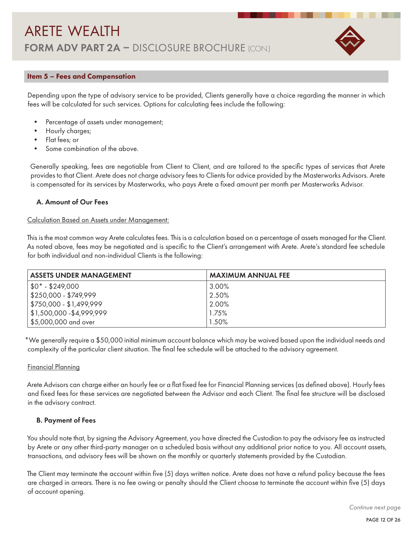

### Item 5 – Fees and Compensation

Depending upon the type of advisory service to be provided, Clients generally have a choice regarding the manner in which fees will be calculated for such services. Options for calculating fees include the following:

- Percentage of assets under management;
- Hourly charges;
- Flat fees; or
- Some combination of the above.

Generally speaking, fees are negotiable from Client to Client, and are tailored to the specific types of services that Arete provides to that Client. Arete does not charge advisory fees to Clients for advice provided by the Masterworks Advisors. Arete is compensated for its services by Masterworks, who pays Arete a fixed amount per month per Masterworks Advisor.

### A. Amount of Our Fees

### Calculation Based on Assets under Management:

This is the most common way Arete calculates fees. This is a calculation based on a percentage of assets managed for the Client. As noted above, fees may be negotiated and is specific to the Client's arrangement with Arete. Arete's standard fee schedule for both individual and non-individual Clients is the following:

| <b>ASSETS UNDER MANAGEMENT</b>  | <b>MAXIMUM ANNUAL FEE</b> |
|---------------------------------|---------------------------|
| $  $0^* - $249,000$             | 3.00%                     |
| $  $250,000 - $749,999$         | $2.50\%$                  |
| $\vert$ \$750,000 - \$1,499,999 | 2.00%                     |
| $1,500,000 - $4,999,999$        | 1.75%                     |
| \$5,000,000 and over            | $1.50\%$                  |

\*We generally require a \$50,000 initial minimum account balance which may be waived based upon the individual needs and complexity of the particular client situation. The final fee schedule will be attached to the advisory agreement.

#### Financial Planning

Arete Advisors can charge either an hourly fee or a flat fixed fee for Financial Planning services (as defined above). Hourly fees and fixed fees for these services are negotiated between the Advisor and each Client. The final fee structure will be disclosed in the advisory contract.

#### B. Payment of Fees

You should note that, by signing the Advisory Agreement, you have directed the Custodian to pay the advisory fee as instructed by Arete or any other third-party manager on a scheduled basis without any additional prior notice to you. All account assets, transactions, and advisory fees will be shown on the monthly or quarterly statements provided by the Custodian.

The Client may terminate the account within five (5) days written notice. Arete does not have a refund policy because the fees are charged in arrears. There is no fee owing or penalty should the Client choose to terminate the account within five (5) days of account opening.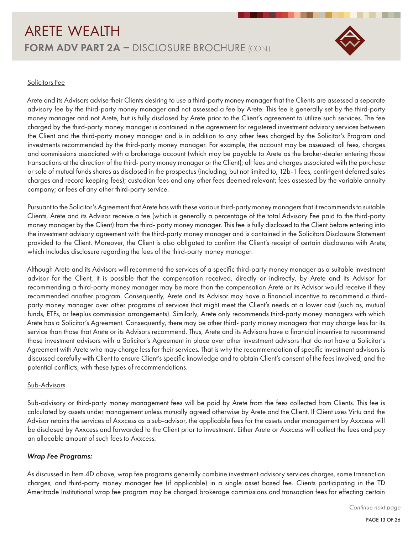

### Solicitors Fee

Arete and its Advisors advise their Clients desiring to use a third-party money manager that the Clients are assessed a separate advisory fee by the third-party money manager and not assessed a fee by Arete. This fee is generally set by the third-party money manager and not Arete, but is fully disclosed by Arete prior to the Client's agreement to utilize such services. The fee charged by the third-party money manager is contained in the agreement for registered investment advisory services between the Client and the third-party money manager and is in addition to any other fees charged by the Solicitor's Program and investments recommended by the third-party money manager. For example, the account may be assessed: all fees, charges and commissions associated with a brokerage account (which may be payable to Arete as the broker-dealer entering those transactions at the direction of the third- party money manager or the Client); all fees and charges associated with the purchase or sale of mutual funds shares as disclosed in the prospectus (including, but not limited to, 12b-1 fees, contingent deferred sales charges and record keeping fees); custodian fees and any other fees deemed relevant; fees assessed by the variable annuity company; or fees of any other third-party service.

Pursuant to the Solicitor's Agreement that Arete has with these various third-party money managers that it recommends to suitable Clients, Arete and its Advisor receive a fee (which is generally a percentage of the total Advisory Fee paid to the third-party money manager by the Client) from the third- party money manager. This fee is fully disclosed to the Client before entering into the investment advisory agreement with the third-party money manager and is contained in the Solicitors Disclosure Statement provided to the Client. Moreover, the Client is also obligated to confirm the Client's receipt of certain disclosures with Arete, which includes disclosure regarding the fees of the third-party money manager.

Although Arete and its Advisors will recommend the services of a specific third-party money manager as a suitable investment advisor for the Client, it is possible that the compensation received, directly or indirectly, by Arete and its Advisor for recommending a third-party money manager may be more than the compensation Arete or its Advisor would receive if they recommended another program. Consequently, Arete and its Advisor may have a financial incentive to recommend a thirdparty money manager over other programs of services that might meet the Client's needs at a lower cost (such as, mutual funds, ETFs, or feeplus commission arrangements). Similarly, Arete only recommends third-party money managers with which Arete has a Solicitor's Agreement. Consequently, there may be other third- party money managers that may charge less for its service than those that Arete or its Advisors recommend. Thus, Arete and its Advisors have a financial incentive to recommend those investment advisors with a Solicitor's Agreement in place over other investment advisors that do not have a Solicitor's Agreement with Arete who may charge less for their services. That is why the recommendation of specific investment advisors is discussed carefully with Client to ensure Client's specific knowledge and to obtain Client's consent of the fees involved, and the potential conflicts, with these types of recommendations.

#### Sub-Advisors

Sub-advisory or third-party money management fees will be paid by Arete from the fees collected from Clients. This fee is calculated by assets under management unless mutually agreed otherwise by Arete and the Client. If Client uses Virtu and the Advisor retains the services of Axxcess as a sub-advisor, the applicable fees for the assets under management by Axxcess will be disclosed by Axxcess and forwarded to the Client prior to investment. Either Arete or Axxcess will collect the fees and pay an allocable amount of such fees to Axxcess.

### *Wrap Fee Programs:*

As discussed in Item 4D above, wrap fee programs generally combine investment advisory services charges, some transaction charges, and third-party money manager fee (if applicable) in a single asset based fee. Clients participating in the TD Ameritrade Institutional wrap fee program may be charged brokerage commissions and transaction fees for effecting certain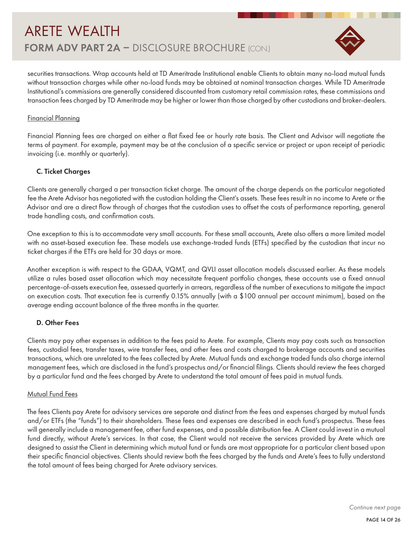

securities transactions. Wrap accounts held at TD Ameritrade Institutional enable Clients to obtain many no-load mutual funds without transaction charges while other no-load funds may be obtained at nominal transaction charges. While TD Ameritrade Institutional's commissions are generally considered discounted from customary retail commission rates, these commissions and transaction fees charged by TD Ameritrade may be higher or lower than those charged by other custodians and broker-dealers.

#### Financial Planning

Financial Planning fees are charged on either a flat fixed fee or hourly rate basis. The Client and Advisor will negotiate the terms of payment. For example, payment may be at the conclusion of a specific service or project or upon receipt of periodic invoicing (i.e. monthly or quarterly).

### C. Ticket Charges

Clients are generally charged a per transaction ticket charge. The amount of the charge depends on the particular negotiated fee the Arete Advisor has negotiated with the custodian holding the Client's assets. These fees result in no income to Arete or the Advisor and are a direct flow through of charges that the custodian uses to offset the costs of performance reporting, general trade handling costs, and confirmation costs.

One exception to this is to accommodate very small accounts. For these small accounts, Arete also offers a more limited model with no asset-based execution fee. These models use exchange-traded funds (ETFs) specified by the custodian that incur no ticket charges if the ETFs are held for 30 days or more.

Another exception is with respect to the GDAA, VQMT, and QVLI asset allocation models discussed earlier. As these models utilize a rules based asset allocation which may necessitate frequent portfolio changes, these accounts use a fixed annual percentage-of-assets execution fee, assessed quarterly in arrears, regardless of the number of executions to mitigate the impact on execution costs. That execution fee is currently 0.15% annually (with a \$100 annual per account minimum), based on the average ending account balance of the three months in the quarter.

### D. Other Fees

Clients may pay other expenses in addition to the fees paid to Arete. For example, Clients may pay costs such as transaction fees, custodial fees, transfer taxes, wire transfer fees, and other fees and costs charged to brokerage accounts and securities transactions, which are unrelated to the fees collected by Arete. Mutual funds and exchange traded funds also charge internal management fees, which are disclosed in the fund's prospectus and/or financial filings. Clients should review the fees charged by a particular fund and the fees charged by Arete to understand the total amount of fees paid in mutual funds.

### Mutual Fund Fees

The fees Clients pay Arete for advisory services are separate and distinct from the fees and expenses charged by mutual funds and/or ETFs (the "funds") to their shareholders. These fees and expenses are described in each fund's prospectus. These fees will generally include a management fee, other fund expenses, and a possible distribution fee. A Client could invest in a mutual fund directly, without Arete's services. In that case, the Client would not receive the services provided by Arete which are designed to assist the Client in determining which mutual fund or funds are most appropriate for a particular client based upon their specific financial objectives. Clients should review both the fees charged by the funds and Arete's fees to fully understand the total amount of fees being charged for Arete advisory services.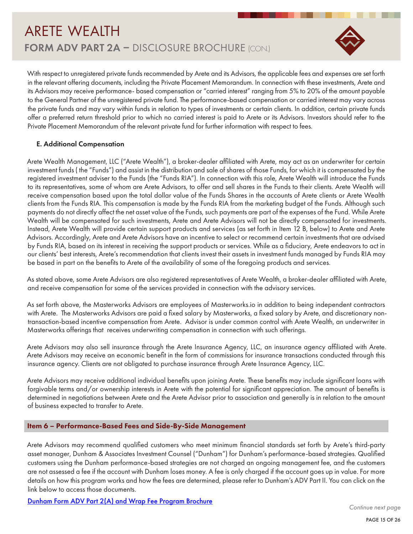

With respect to unregistered private funds recommended by Arete and its Advisors, the applicable fees and expenses are set forth in the relevant offering documents, including the Private Placement Memorandum. In connection with these investments, Arete and its Advisors may receive performance- based compensation or "carried interest" ranging from 5% to 20% of the amount payable to the General Partner of the unregistered private fund. The performance-based compensation or carried interest may vary across the private funds and may vary within funds in relation to types of investments or certain clients. In addition, certain private funds offer a preferred return threshold prior to which no carried interest is paid to Arete or its Advisors. Investors should refer to the Private Placement Memorandum of the relevant private fund for further information with respect to fees.

### E. Additional Compensation

Arete Wealth Management, LLC ("Arete Wealth"), a broker-dealer affiliated with Arete, may act as an underwriter for certain investment funds ( the "Funds") and assist in the distribution and sale of shares of those Funds, for which it is compensated by the registered investment adviser to the Funds (the "Funds RIA"). In connection with this role, Arete Wealth will introduce the Funds to its representatives, some of whom are Arete Advisors, to offer and sell shares in the Funds to their clients. Arete Wealth will receive compensation based upon the total dollar value of the Funds Shares in the accounts of Arete clients or Arete Wealth clients from the Funds RIA. This compensation is made by the Funds RIA from the marketing budget of the Funds. Although such payments do not directly affect the net asset value of the Funds, such payments are part of the expenses of the Fund. While Arete Wealth will be compensated for such investments, Arete and Arete Advisors will not be directly compensated for investments. Instead, Arete Wealth will provide certain support products and services (as set forth in Item 12 B, below) to Arete and Arete Advisors. Accordingly, Arete and Arete Advisors have an incentive to select or recommend certain investments that are advised by Funds RIA, based on its interest in receiving the support products or services. While as a fiduciary, Arete endeavors to act in our clients' best interests, Arete's recommendation that clients invest their assets in investment funds managed by Funds RIA may be based in part on the benefits to Arete of the availability of some of the foregoing products and services.

As stated above, some Arete Advisors are also registered representatives of Arete Wealth, a broker-dealer affiliated with Arete, and receive compensation for some of the services provided in connection with the advisory services.

As set forth above, the Masterworks Advisors are employees of Masterworks.io in addition to being independent contractors with Arete. The Masterworks Advisors are paid a fixed salary by Masterworks, a fixed salary by Arete, and discretionary nontransaction-based incentive compensation from Arete. Advisor is under common control with Arete Wealth, an underwriter in Masterworks offerings that receives underwriting compensation in connection with such offerings.

Arete Advisors may also sell insurance through the Arete Insurance Agency, LLC, an insurance agency affiliated with Arete. Arete Advisors may receive an economic benefit in the form of commissions for insurance transactions conducted through this insurance agency. Clients are not obligated to purchase insurance through Arete Insurance Agency, LLC.

Arete Advisors may receive additional individual benefits upon joining Arete. These benefits may include significant loans with forgivable terms and/or ownership interests in Arete with the potential for significant appreciation. The amount of benefits is determined in negotiations between Arete and the Arete Advisor prior to association and generally is in relation to the amount of business expected to transfer to Arete.

#### Item 6 – Performance-Based Fees and Side-By-Side Management

Arete Advisors may recommend qualified customers who meet minimum financial standards set forth by Arete's third-party asset manager, Dunham & Associates Investment Counsel ("Dunham") for Dunham's performance-based strategies. Qualified customers using the Dunham performance-based strategies are not charged an ongoing management fee, and the customers are not assessed a fee if the account with Dunham loses money. A fee is only charged if the account goes up in value. For more details on how this program works and how the fees are determined, please refer to Dunham's ADV Part II. You can click on the link below to access those documents.

Dunham Form ADV Part 2(A) and Wrap Fee Program Brochure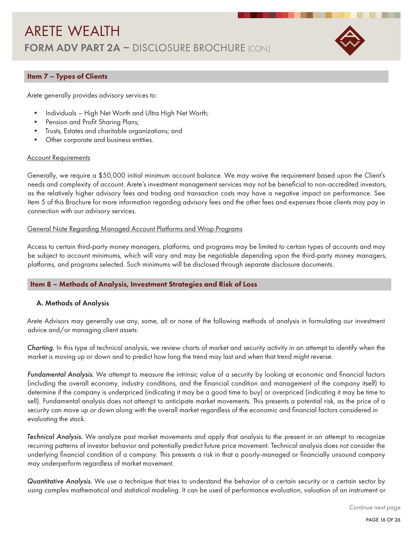

### Item 7 – Types of Clients

Arete generally provides advisory services to:

- Individuals High Net Worth and Ultra High Net Worth;
- Pension and Profit Sharing Plans;
- Trusts, Estates and charitable organizations; and
- Other corporate and business entities.

#### **Account Requirements**

Generally, we require a \$50,000 initial minimum account balance. We may waive the requirement based upon the Client's needs and complexity of account. Arete's investment management services may not be beneficial to non-accredited investors, as the relatively higher advisory fees and trading and transaction costs may have a negative impact on performance. See Item 5 of this Brochure for more information regarding advisory fees and the other fees and expenses those clients may pay in connection with our advisory services.

#### General Note Regarding Managed Account Platforms and Wrap Programs

Access to certain third-party money managers, platforms, and programs may be limited to certain types of accounts and may be subject to account minimums, which will vary and may be negotiable depending upon the third-party money managers, platforms, and programs selected. Such minimums will be disclosed through separate disclosure documents.

#### Item 8 – Methods of Analysis, Investment Strategies and Risk of Loss

#### A. Methods of Analysis

Arete Advisors may generally use any, some, all or none of the following methods of analysis in formulating our investment advice and/or managing client assets:

*Charting.* In this type of technical analysis, we review charts of market and security activity in an attempt to identify when the market is moving up or down and to predict how long the trend may last and when that trend might reverse.

*Fundamental Analysis.* We attempt to measure the intrinsic value of a security by looking at economic and financial factors (including the overall economy, industry conditions, and the financial condition and management of the company itself) to determine if the company is underpriced (indicating it may be a good time to buy) or overpriced (indicating it may be time to sell). Fundamental analysis does not attempt to anticipate market movements. This presents a potential risk, as the price of a security can move up or down along with the overall market regardless of the economic and financial factors considered in evaluating the stock.

*Technical Analysis.* We analyze past market movements and apply that analysis to the present in an attempt to recognize recurring patterns of investor behavior and potentially predict future price movement. Technical analysis does not consider the underlying financial condition of a company. This presents a risk in that a poorly-managed or financially unsound company may underperform regardless of market movement.

*Quantitative Analysis.* We use a technique that tries to understand the behavior of a certain security or a certain sector by using complex mathematical and statistical modeling. It can be used of performance evaluation, valuation of an instrument or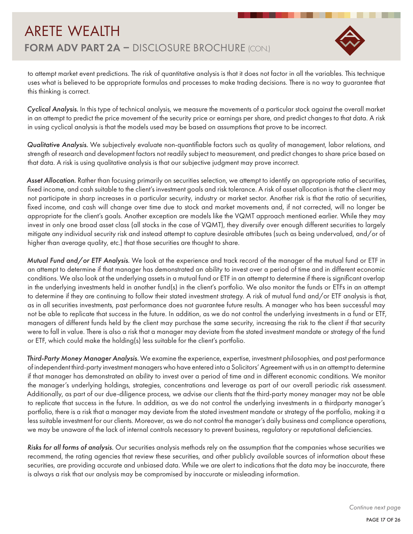

to attempt market event predictions. The risk of quantitative analysis is that it does not factor in all the variables. This technique uses what is believed to be appropriate formulas and processes to make trading decisions. There is no way to guarantee that this thinking is correct.

*Cyclical Analysis.* In this type of technical analysis, we measure the movements of a particular stock against the overall market in an attempt to predict the price movement of the security price or earnings per share, and predict changes to that data. A risk in using cyclical analysis is that the models used may be based on assumptions that prove to be incorrect.

*Qualitative Analysis.* We subjectively evaluate non-quantifiable factors such as quality of management, labor relations, and strength of research and development factors not readily subject to measurement, and predict changes to share price based on that data. A risk is using qualitative analysis is that our subjective judgment may prove incorrect.

*Asset Allocation.* Rather than focusing primarily on securities selection, we attempt to identify an appropriate ratio of securities, fixed income, and cash suitable to the client's investment goals and risk tolerance. A risk of asset allocation is that the client may not participate in sharp increases in a particular security, industry or market sector. Another risk is that the ratio of securities, fixed income, and cash will change over time due to stock and market movements and, if not corrected, will no longer be appropriate for the client's goals. Another exception are models like the VQMT approach mentioned earlier. While they may invest in only one broad asset class (all stocks in the case of VQMT), they diversify over enough different securities to largely mitigate any individual security risk and instead attempt to capture desirable attributes (such as being undervalued, and/or of higher than average quality, etc.) that those securities are thought to share.

*Mutual Fund and/or ETF Analysis.* We look at the experience and track record of the manager of the mutual fund or ETF in an attempt to determine if that manager has demonstrated an ability to invest over a period of time and in different economic conditions. We also look at the underlying assets in a mutual fund or ETF in an attempt to determine if there is significant overlap in the underlying investments held in another fund(s) in the client's portfolio. We also monitor the funds or ETFs in an attempt to determine if they are continuing to follow their stated investment strategy. A risk of mutual fund and/or ETF analysis is that, as in all securities investments, past performance does not guarantee future results. A manager who has been successful may not be able to replicate that success in the future. In addition, as we do not control the underlying investments in a fund or ETF, managers of different funds held by the client may purchase the same security, increasing the risk to the client if that security were to fall in value. There is also a risk that a manager may deviate from the stated investment mandate or strategy of the fund or ETF, which could make the holding(s) less suitable for the client's portfolio.

*Third-Party Money Manager Analysis.* We examine the experience, expertise, investment philosophies, and past performance of independent third-party investment managers who have entered into a Solicitors' Agreement with us in an attempt to determine if that manager has demonstrated an ability to invest over a period of time and in different economic conditions. We monitor the manager's underlying holdings, strategies, concentrations and leverage as part of our overall periodic risk assessment. Additionally, as part of our due-diligence process, we advise our clients that the third-party money manager may not be able to replicate that success in the future. In addition, as we do not control the underlying investments in a thirdparty manager's portfolio, there is a risk that a manager may deviate from the stated investment mandate or strategy of the portfolio, making it a less suitable investment for our clients. Moreover, as we do not control the manager's daily business and compliance operations, we may be unaware of the lack of internal controls necessary to prevent business, regulatory or reputational deficiencies.

*Risks for all forms of analysis.* Our securities analysis methods rely on the assumption that the companies whose securities we recommend, the rating agencies that review these securities, and other publicly available sources of information about these securities, are providing accurate and unbiased data. While we are alert to indications that the data may be inaccurate, there is always a risk that our analysis may be compromised by inaccurate or misleading information.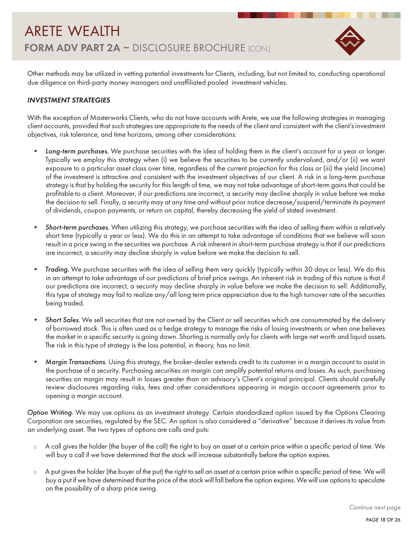

Other methods may be utilized in vetting potential investments for Clients, including, but not limited to, conducting operational due diligence on third-party money managers and unaffiliated pooled investment vehicles.

### *INVESTMENT STRATEGIES*

With the exception of Masterworks Clients, who do not have accounts with Arete, we use the following strategies in managing client accounts, provided that such strategies are appropriate to the needs of the client and consistent with the client's investment objectives, risk tolerance, and time horizons, among other considerations:

- *• Long-term purchases.* We purchase securities with the idea of holding them in the client's account for a year or longer. Typically we employ this strategy when (i) we believe the securities to be currently undervalued, and/or (ii) we want exposure to a particular asset class over time, regardless of the current projection for this class or (iii) the yield (income) of the investment is attractive and consistent with the investment objectives of our client. A risk in a long-term purchase strategy is that by holding the security for this length of time, we may not take advantage of short-term gains that could be profitable to a client. Moreover, if our predictions are incorrect, a security may decline sharply in value before we make the decision to sell. Finally, a security may at any time and without prior notice decrease/suspend/terminate its payment of dividends, coupon payments, or return on capital, thereby decreasing the yield of stated investment.
- *• Short-term purchases.* When utilizing this strategy, we purchase securities with the idea of selling them within a relatively short time (typically a year or less). We do this in an attempt to take advantage of conditions that we believe will soon result in a price swing in the securities we purchase. A risk inherent in short-term purchase strategy is that if our predictions are incorrect, a security may decline sharply in value before we make the decision to sell.
- *• Trading.* We purchase securities with the idea of selling them very quickly (typically within 30 days or less). We do this in an attempt to take advantage of our predictions of brief price swings. An inherent risk in trading of this nature is that if our predictions are incorrect, a security may decline sharply in value before we make the decision to sell. Additionally, this type of strategy may fail to realize any/all long term price appreciation due to the high turnover rate of the securities being traded.
- *• Short Sales.* We sell securities that are not owned by the Client or sell securities which are consummated by the delivery of borrowed stock. This is often used as a hedge strategy to manage the risks of losing investments or when one believes the market in a specific security is going down. Shorting is normally only for clients with large net worth and liquid assets. The risk in this type of strategy is the loss potential, in theory, has no limit.
- *• Margin Transactions*. Using this strategy, the broker-dealer extends credit to its customer in a margin account to assist in the purchase of a security. Purchasing securities on margin can amplify potential returns and losses. As such, purchasing securities on margin may result in losses greater than an advisory's Client's original principal. Clients should carefully review disclosures regarding risks, fees and other considerations appearing in margin account agreements prior to opening a margin account.

*Option Writing.* We may use options as an investment strategy. Certain standardized option issued by the Options Clearing Corporation are securities, regulated by the SEC. An option is also considered a "derivative" because it derives its value from an underlying asset. The two types of options are calls and puts:

- $\circ$  A call gives the holder (the buyer of the call) the right to buy an asset at a certain price within a specific period of time. We will buy a call if we have determined that the stock will increase substantially before the option expires.
- $\circ$  A put gives the holder (the buyer of the put) the right to sell an asset at a certain price within a specific period of time. We will buy a put if we have determined that the price of the stock will fall before the option expires. We will use options to speculate on the possibility of a sharp price swing.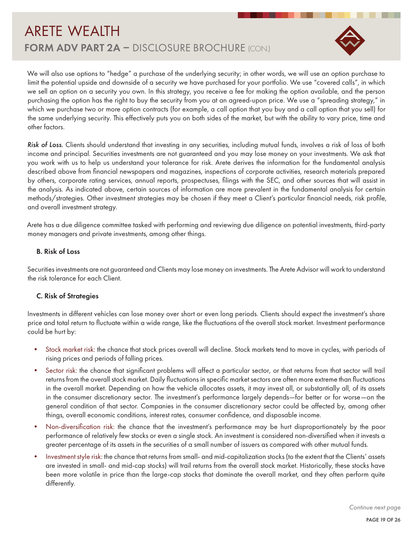

We will also use options to "hedge" a purchase of the underlying security; in other words, we will use an option purchase to limit the potential upside and downside of a security we have purchased for your portfolio. We use "covered calls", in which we sell an option on a security you own. In this strategy, you receive a fee for making the option available, and the person purchasing the option has the right to buy the security from you at an agreed-upon price. We use a "spreading strategy," in which we purchase two or more option contracts (for example, a call option that you buy and a call option that you sell) for the same underlying security. This effectively puts you on both sides of the market, but with the ability to vary price, time and other factors.

*Risk of Loss.* Clients should understand that investing in any securities, including mutual funds, involves a risk of loss of both income and principal. Securities investments are not guaranteed and you may lose money on your investments. We ask that you work with us to help us understand your tolerance for risk. Arete derives the information for the fundamental analysis described above from financial newspapers and magazines, inspections of corporate activities, research materials prepared by others, corporate rating services, annual reports, prospectuses, filings with the SEC, and other sources that will assist in the analysis. As indicated above, certain sources of information are more prevalent in the fundamental analysis for certain methods/strategies. Other investment strategies may be chosen if they meet a Client's particular financial needs, risk profile, and overall investment strategy.

Arete has a due diligence committee tasked with performing and reviewing due diligence on potential investments, third-party money managers and private investments, among other things.

#### B. Risk of Loss

Securities investments are not guaranteed and Clients may lose money on investments. The Arete Advisor will work to understand the risk tolerance for each Client.

#### C. Risk of Strategies

Investments in different vehicles can lose money over short or even long periods. Clients should expect the investment's share price and total return to fluctuate within a wide range, like the fluctuations of the overall stock market. Investment performance could be hurt by:

- Stock market risk: the chance that stock prices overall will decline. Stock markets tend to move in cycles, with periods of rising prices and periods of falling prices.
- Sector risk: the chance that significant problems will affect a particular sector, or that returns from that sector will trail returns from the overall stock market. Daily fluctuations in specific market sectors are often more extreme than fluctuations in the overall market. Depending on how the vehicle allocates assets, it may invest all, or substantially all, of its assets in the consumer discretionary sector. The investment's performance largely depends—for better or for worse—on the general condition of that sector. Companies in the consumer discretionary sector could be affected by, among other things, overall economic conditions, interest rates, consumer confidence, and disposable income.
- Non-diversification risk: the chance that the investment's performance may be hurt disproportionately by the poor performance of relatively few stocks or even a single stock. An investment is considered non-diversified when it invests a greater percentage of its assets in the securities of a small number of issuers as compared with other mutual funds.
- Investment style risk: the chance that returns from small- and mid-capitalization stocks (to the extent that the Clients' assets are invested in small- and mid-cap stocks) will trail returns from the overall stock market. Historically, these stocks have been more volatile in price than the large-cap stocks that dominate the overall market, and they often perform quite differently.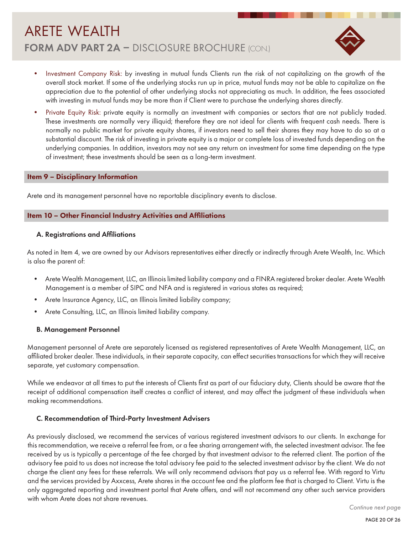

- Investment Company Risk: by investing in mutual funds Clients run the risk of not capitalizing on the growth of the overall stock market. If some of the underlying stocks run up in price, mutual funds may not be able to capitalize on the appreciation due to the potential of other underlying stocks not appreciating as much. In addition, the fees associated with investing in mutual funds may be more than if Client were to purchase the underlying shares directly.
- Private Equity Risk: private equity is normally an investment with companies or sectors that are not publicly traded. These investments are normally very illiquid; therefore they are not ideal for clients with frequent cash needs. There is normally no public market for private equity shares, if investors need to sell their shares they may have to do so at a substantial discount. The risk of investing in private equity is a major or complete loss of invested funds depending on the underlying companies. In addition, investors may not see any return on investment for some time depending on the type of investment; these investments should be seen as a long-term investment.

#### Item 9 – Disciplinary Information

Arete and its management personnel have no reportable disciplinary events to disclose.

#### Item 10 – Other Financial Industry Activities and Affiliations

#### A. Registrations and Affiliations

As noted in Item 4, we are owned by our Advisors representatives either directly or indirectly through Arete Wealth, Inc. Which is also the parent of:

- Arete Wealth Management, LLC, an Illinois limited liability company and a FINRA registered broker dealer. Arete Wealth Management is a member of SIPC and NFA and is registered in various states as required;
- Arete Insurance Agency, LLC, an Illinois limited liability company;
- Arete Consulting, LLC, an Illinois limited liability company.

#### B. Management Personnel

Management personnel of Arete are separately licensed as registered representatives of Arete Wealth Management, LLC, an affiliated broker dealer. These individuals, in their separate capacity, can effect securities transactions for which they will receive separate, yet customary compensation.

While we endeavor at all times to put the interests of Clients first as part of our fiduciary duty, Clients should be aware that the receipt of additional compensation itself creates a conflict of interest, and may affect the judgment of these individuals when making recommendations.

#### C. Recommendation of Third-Party Investment Advisers

As previously disclosed, we recommend the services of various registered investment advisors to our clients. In exchange for this recommendation, we receive a referral fee from, or a fee sharing arrangement with, the selected investment advisor. The fee received by us is typically a percentage of the fee charged by that investment advisor to the referred client. The portion of the advisory fee paid to us does not increase the total advisory fee paid to the selected investment advisor by the client. We do not charge the client any fees for these referrals. We will only recommend advisors that pay us a referral fee. With regard to Virtu and the services provided by Axxcess, Arete shares in the account fee and the platform fee that is charged to Client. Virtu is the only aggregated reporting and investment portal that Arete offers, and will not recommend any other such service providers with whom Arete does not share revenues.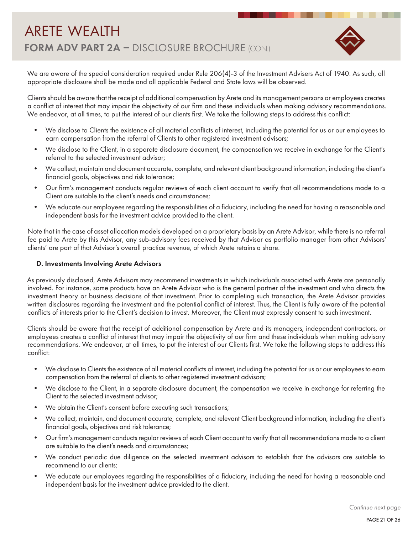

We are aware of the special consideration required under Rule 206(4)-3 of the Investment Advisers Act of 1940. As such, all appropriate disclosure shall be made and all applicable Federal and State laws will be observed.

Clients should be aware that the receipt of additional compensation by Arete and its management persons or employees creates a conflict of interest that may impair the objectivity of our firm and these individuals when making advisory recommendations. We endeavor, at all times, to put the interest of our clients first. We take the following steps to address this conflict:

- We disclose to Clients the existence of all material conflicts of interest, including the potential for us or our employees to earn compensation from the referral of Clients to other registered investment advisors;
- We disclose to the Client, in a separate disclosure document, the compensation we receive in exchange for the Client's referral to the selected investment advisor;
- We collect, maintain and document accurate, complete, and relevant client background information, including the client's financial goals, objectives and risk tolerance;
- Our firm's management conducts regular reviews of each client account to verify that all recommendations made to a Client are suitable to the client's needs and circumstances;
- We educate our employees regarding the responsibilities of a fiduciary, including the need for having a reasonable and independent basis for the investment advice provided to the client.

Note that in the case of asset allocation models developed on a proprietary basis by an Arete Advisor, while there is no referral fee paid to Arete by this Advisor, any sub-advisory fees received by that Advisor as portfolio manager from other Advisors' clients' are part of that Advisor's overall practice revenue, of which Arete retains a share.

### D. Investments Involving Arete Advisors

As previously disclosed, Arete Advisors may recommend investments in which individuals associated with Arete are personally involved. For instance, some products have an Arete Advisor who is the general partner of the investment and who directs the investment theory or business decisions of that investment. Prior to completing such transaction, the Arete Advisor provides written disclosures regarding the investment and the potential conflict of interest. Thus, the Client is fully aware of the potential conflicts of interests prior to the Client's decision to invest. Moreover, the Client must expressly consent to such investment.

Clients should be aware that the receipt of additional compensation by Arete and its managers, independent contractors, or employees creates a conflict of interest that may impair the objectivity of our firm and these individuals when making advisory recommendations. We endeavor, at all times, to put the interest of our Clients first. We take the following steps to address this conflict:

- We disclose to Clients the existence of all material conflicts of interest, including the potential for us or our employees to earn compensation from the referral of clients to other registered investment advisors;
- We disclose to the Client, in a separate disclosure document, the compensation we receive in exchange for referring the Client to the selected investment advisor;
- We obtain the Client's consent before executing such transactions;
- We collect, maintain, and document accurate, complete, and relevant Client background information, including the client's financial goals, objectives and risk tolerance;
- Our firm's management conducts regular reviews of each Client account to verify that all recommendations made to a client are suitable to the client's needs and circumstances;
- We conduct periodic due diligence on the selected investment advisors to establish that the advisors are suitable to recommend to our clients;
- We educate our employees regarding the responsibilities of a fiduciary, including the need for having a reasonable and independent basis for the investment advice provided to the client.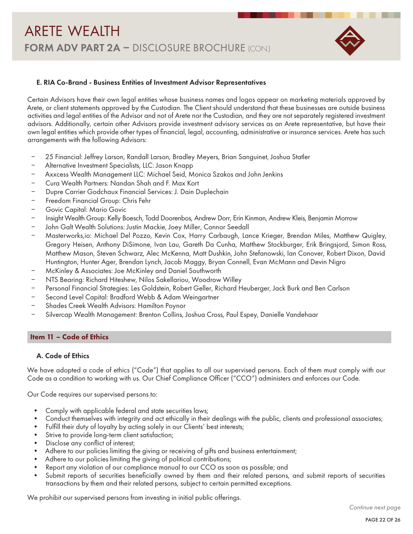

#### E. RIA Co-Brand - Business Entities of Investment Advisor Representatives

Certain Advisors have their own legal entities whose business names and logos appear on marketing materials approved by Arete, or client statements approved by the Custodian. The Client should understand that these businesses are outside business activities and legal entities of the Advisor and not of Arete nor the Custodian, and they are not separately registered investment advisors. Additionally, certain other Advisors provide investment advisory services as an Arete representative, but have their own legal entities which provide other types of financial, legal, accounting, administrative or insurance services. Arete has such arrangements with the following Advisors:

- ‒ 25 Financial: Jeffrey Larson, Randall Larson, Bradley Meyers, Brian Sanguinet, Joshua Statler
- ‒ Alternative Investment Specialists, LLC: Jason Knapp
- ‒ Axxcess Wealth Management LLC: Michael Seid, Monica Szakos and John Jenkins
- ‒ Cura Wealth Partners: Nandan Shah and F. Max Kort
- ‒ Dupre Carrier Godchaux Financial Services: J. Dain Duplechain
- ‒ Freedom Financial Group: Chris Fehr
- ‒ Govic Capital: Mario Govic
- ‒ Insight Wealth Group: Kelly Boesch, Todd Doorenbos, Andrew Dorr, Erin Kinman, Andrew Kleis, Benjamin Morrow
- ‒ John Galt Wealth Solutions: Justin Mackie, Joey Miller, Connor Seedall
- ‒ Masterworks,io: Michael Del Pozzo, Kevin Cox, Harry Carbaugh, Lance Krieger, Brendan Miles, Matthew Quigley, Gregory Heisen, Anthony DiSimone, Ivan Lau, Gareth Da Cunha, Matthew Stockburger, Erik Bringsjord, Simon Ross, Matthew Mason, Steven Schwarz, Alec McKenna, Matt Dushkin, John Stefanowski, Ian Conover, Robert Dixon, David Huntington, Hunter Ager, Brendan Lynch, Jacob Maggy, Bryan Connell, Evan McMann and Devin Nigro
- ‒ McKinley & Associates: Joe McKinley and Daniel Southworth
- ‒ NTS Bearing: Richard Hiteshew, Nilos Sakellariou, Woodrow Willey
- ‒ Personal Financial Strategies: Les Goldstein, Robert Geller, Richard Heuberger, Jack Burk and Ben Carlson
- Second Level Capital: Bradford Webb & Adam Weingartner
- ‒ Shades Creek Wealth Advisors: Hamilton Poynor
- ‒ Silvercap Wealth Management: Brenton Collins, Joshua Cross, Paul Espey, Danielle Vandehaar

#### Item 11 – Code of Ethics

### A. Code of Ethics

We have adopted a code of ethics ("Code") that applies to all our supervised persons. Each of them must comply with our Code as a condition to working with us. Our Chief Compliance Officer ("CCO") administers and enforces our Code.

Our Code requires our supervised persons to:

- Comply with applicable federal and state securities laws;
- Conduct themselves with integrity and act ethically in their dealings with the public, clients and professional associates;
- Fulfill their duty of loyalty by acting solely in our Clients' best interests;
- Strive to provide long-term client satisfaction;
- Disclose any conflict of interest;
- Adhere to our policies limiting the giving or receiving of gifts and business entertainment;
- Adhere to our policies limiting the giving of political contributions;
- Report any violation of our compliance manual to our CCO as soon as possible; and
- Submit reports of securities beneficially owned by them and their related persons, and submit reports of securities transactions by them and their related persons, subject to certain permitted exceptions.

We prohibit our supervised persons from investing in initial public offerings.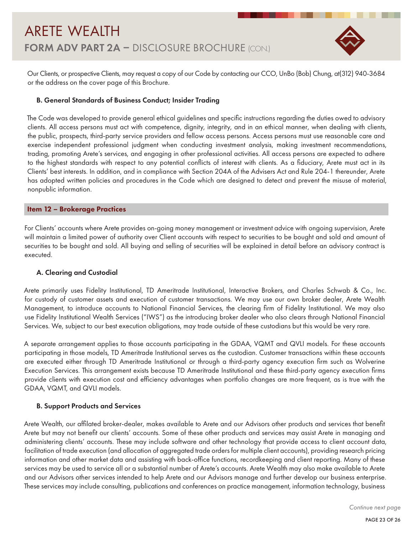

Our Clients, or prospective Clients, may request a copy of our Code by contacting our CCO, UnBo (Bob) Chung, at(312) 940-3684 or the address on the cover page of this Brochure.

### B. General Standards of Business Conduct; Insider Trading

The Code was developed to provide general ethical guidelines and specific instructions regarding the duties owed to advisory clients. All access persons must act with competence, dignity, integrity, and in an ethical manner, when dealing with clients, the public, prospects, third-party service providers and fellow access persons. Access persons must use reasonable care and exercise independent professional judgment when conducting investment analysis, making investment recommendations, trading, promoting Arete's services, and engaging in other professional activities. All access persons are expected to adhere to the highest standards with respect to any potential conflicts of interest with clients. As a fiduciary, Arete must act in its Clients' best interests. In addition, and in compliance with Section 204A of the Advisers Act and Rule 204-1 thereunder, Arete has adopted written policies and procedures in the Code which are designed to detect and prevent the misuse of material, nonpublic information.

### Item 12 – Brokerage Practices

For Clients' accounts where Arete provides on-going money management or investment advice with ongoing supervision, Arete will maintain a limited power of authority over Client accounts with respect to securities to be bought and sold and amount of securities to be bought and sold. All buying and selling of securities will be explained in detail before an advisory contract is executed.

#### A. Clearing and Custodial

Arete primarily uses Fidelity Institutional, TD Ameritrade Institutional, Interactive Brokers, and Charles Schwab & Co., Inc. for custody of customer assets and execution of customer transactions. We may use our own broker dealer, Arete Wealth Management, to introduce accounts to National Financial Services, the clearing firm of Fidelity Institutional. We may also use Fidelity Institutional Wealth Services ("IWS") as the introducing broker dealer who also clears through National Financial Services. We, subject to our best execution obligations, may trade outside of these custodians but this would be very rare.

A separate arrangement applies to those accounts participating in the GDAA, VQMT and QVLI models. For these accounts participating in those models, TD Ameritrade Institutional serves as the custodian. Customer transactions within these accounts are executed either through TD Ameritrade Institutional or through a third-party agency execution firm such as Wolverine Execution Services. This arrangement exists because TD Ameritrade Institutional and these third-party agency execution firms provide clients with execution cost and efficiency advantages when portfolio changes are more frequent, as is true with the GDAA, VQMT, and QVLI models.

#### B. Support Products and Services

Arete Wealth, our affilated broker-dealer, makes available to Arete and our Advisors other products and services that benefit Arete but may not benefit our clients' accounts. Some of these other products and services may assist Arete in managing and administering clients' accounts. These may include software and other technology that provide access to client account data, facilitation of trade execution (and allocation of aggregated trade orders for multiple client accounts), providing research pricing information and other market data and assisting with back-office functions, recordkeeping and client reporting. Many of these services may be used to service all or a substantial number of Arete's accounts. Arete Wealth may also make available to Arete and our Advisors other services intended to help Arete and our Advisors manage and further develop our business enterprise. These services may include consulting, publications and conferences on practice management, information technology, business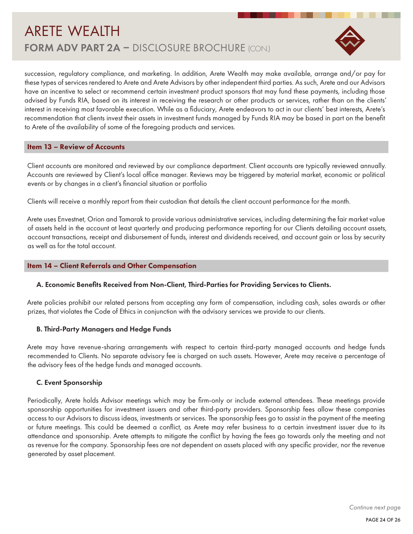

succession, regulatory compliance, and marketing. In addition, Arete Wealth may make available, arrange and/or pay for these types of services rendered to Arete and Arete Advisors by other independent third parties. As such, Arete and our Advisors have an incentive to select or recommend certain investment product sponsors that may fund these payments, including those advised by Funds RIA, based on its interest in receiving the research or other products or services, rather than on the clients' interest in receiving most favorable execution. While as a fiduciary, Arete endeavors to act in our clients' best interests, Arete's recommendation that clients invest their assets in investment funds managed by Funds RIA may be based in part on the benefit to Arete of the availability of some of the foregoing products and services.

#### Item 13 – Review of Accounts

Client accounts are monitored and reviewed by our compliance department. Client accounts are typically reviewed annually. Accounts are reviewed by Client's local office manager. Reviews may be triggered by material market, economic or political events or by changes in a client's financial situation or portfolio

Clients will receive a monthly report from their custodian that details the client account performance for the month.

Arete uses Envestnet, Orion and Tamarak to provide various administrative services, including determining the fair market value of assets held in the account at least quarterly and producing performance reporting for our Clients detailing account assets, account transactions, receipt and disbursement of funds, interest and dividends received, and account gain or loss by security as well as for the total account.

#### Item 14 – Client Referrals and Other Compensation

#### A. Economic Benefits Received from Non-Client, Third-Parties for Providing Services to Clients.

Arete policies prohibit our related persons from accepting any form of compensation, including cash, sales awards or other prizes, that violates the Code of Ethics in conjunction with the advisory services we provide to our clients.

#### B. Third-Party Managers and Hedge Funds

Arete may have revenue-sharing arrangements with respect to certain third-party managed accounts and hedge funds recommended to Clients. No separate advisory fee is charged on such assets. However, Arete may receive a percentage of the advisory fees of the hedge funds and managed accounts.

#### C. Event Sponsorship

Periodically, Arete holds Advisor meetings which may be firm-only or include external attendees. These meetings provide sponsorship opportunities for investment issuers and other third-party providers. Sponsorship fees allow these companies access to our Advisors to discuss ideas, investments or services. The sponsorship fees go to assist in the payment of the meeting or future meetings. This could be deemed a conflict, as Arete may refer business to a certain investment issuer due to its attendance and sponsorship. Arete attempts to mitigate the conflict by having the fees go towards only the meeting and not as revenue for the company. Sponsorship fees are not dependent on assets placed with any specific provider, nor the revenue generated by asset placement.

*Continue next page*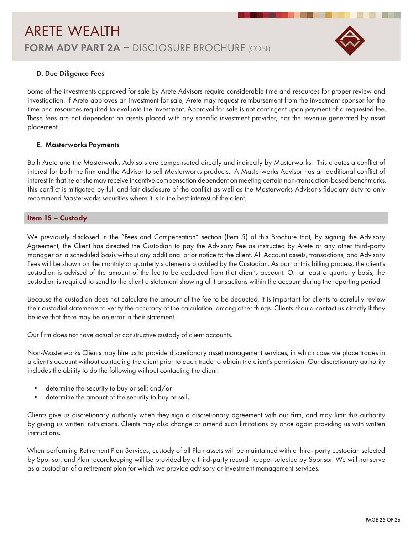

#### D. Due Diligence Fees

Some of the investments approved for sale by Arete Advisors require considerable time and resources for proper review and investigation. If Arete approves an investment for sale, Arete may request reimbursement from the investment sponsor for the time and resources required to evaluate the investment. Approval for sale is not contingent upon payment of a requested fee. These fees are not dependent on assets placed with any specific investment provider, nor the revenue generated by asset placement.

#### E. Masterworks Payments

Both Arete and the Masterworks Advisors are compensated directly and indirectly by Masterworks. This creates a conflict of interest for both the firm and the Advisor to sell Masterworks products. A Masterworks Advisor has an additional conflict of interest in that he or she may receive incentive compensation dependent on meeting certain non-transaction-based benchmarks. This conflict is mitigated by full and fair disclosure of the conflict as well as the Masterworks Advisor's fiduciary duty to only recommend Masterworks securities where it is in the best interest of the client.

#### Item 15 – Custody

We previously disclosed in the "Fees and Compensation" section (Item 5) of this Brochure that, by signing the Advisory Agreement, the Client has directed the Custodian to pay the Advisory Fee as instructed by Arete or any other third-party manager on a scheduled basis without any additional prior notice to the client. All Account assets, transactions, and Advisory Fees will be shown on the monthly or quarterly statements provided by the Custodian. As part of this billing process, the client's custodian is advised of the amount of the fee to be deducted from that client's account. On at least a quarterly basis, the custodian is required to send to the client a statement showing all transactions within the account during the reporting period.

Because the custodian does not calculate the amount of the fee to be deducted, it is important for clients to carefully review their custodial statements to verify the accuracy of the calculation, among other things. Clients should contact us directly if they believe that there may be an error in their statement.

Our firm does not have actual or constructive custody of client accounts.

Non-Masterworks Clients may hire us to provide discretionary asset management services, in which case we place trades in a client's account without contacting the client prior to each trade to obtain the client's permission. Our discretionary authority includes the ability to do the following without contacting the client:

- determine the security to buy or sell; and/or
- determine the amount of the security to buy or sell.

Clients give us discretionary authority when they sign a discretionary agreement with our firm, and may limit this authority by giving us written instructions. Clients may also change or amend such limitations by once again providing us with written instructions.

When performing Retirement Plan Services, custody of all Plan assets will be maintained with a third- party custodian selected by Sponsor, and Plan recordkeeping will be provided by a third-party record- keeper selected by Sponsor. We will not serve as a custodian of a retirement plan for which we provide advisory or investment management services.